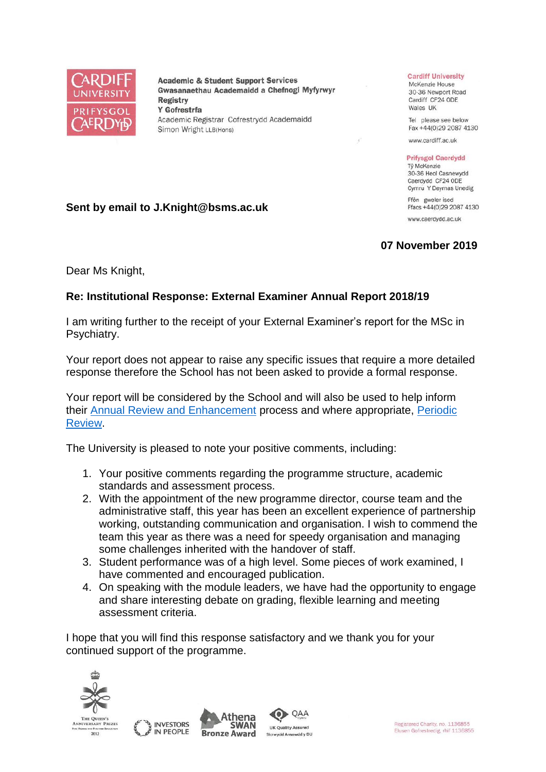

**Academic & Student Support Services** Gwasanaethau Academaidd a Chefnogi Myfyrwyr **Registry** Y Gofrestrfa Academic Registrar Cofrestrydd Academaidd Simon Wright LLB(Hons)

## **Cardiff University**

McKenzie House 30-36 Newport Road Cardiff CF24 ODE Wales UK

Tel please see below Fax +44(0)29 2087 4130

www.cardiff.ac.uk

## **Prifysgol Caerdydd**

Tỷ McKenzie 30-36 Heol Casnewydd Caerdydd CF24 ODE Cymru Y Deyrnas Unedig

Ffôn gweler isod Ffacs +44(0)29 2087 4130 www.caerdydd.ac.uk

## **07 November 2019**

Dear Ms Knight,

**Sent by email to J.Knight@bsms.ac.uk**

## **Re: Institutional Response: External Examiner Annual Report 2018/19**

I am writing further to the receipt of your External Examiner's report for the MSc in Psychiatry.

Your report does not appear to raise any specific issues that require a more detailed response therefore the School has not been asked to provide a formal response.

Your report will be considered by the School and will also be used to help inform their [Annual Review and Enhancement](https://www.cardiff.ac.uk/public-information/quality-and-standards/monitoring-and-review/annual-review-and-enhancement) process and where appropriate, [Periodic](http://www.cardiff.ac.uk/public-information/quality-and-standards/monitoring-and-review/periodic-review)  [Review.](http://www.cardiff.ac.uk/public-information/quality-and-standards/monitoring-and-review/periodic-review)

The University is pleased to note your positive comments, including:

- 1. Your positive comments regarding the programme structure, academic standards and assessment process.
- 2. With the appointment of the new programme director, course team and the administrative staff, this year has been an excellent experience of partnership working, outstanding communication and organisation. I wish to commend the team this year as there was a need for speedy organisation and managing some challenges inherited with the handover of staff.
- 3. Student performance was of a high level. Some pieces of work examined, I have commented and encouraged publication.
- 4. On speaking with the module leaders, we have had the opportunity to engage and share interesting debate on grading, flexible learning and meeting assessment criteria.

QAA

I hope that you will find this response satisfactory and we thank you for your continued support of the programme.